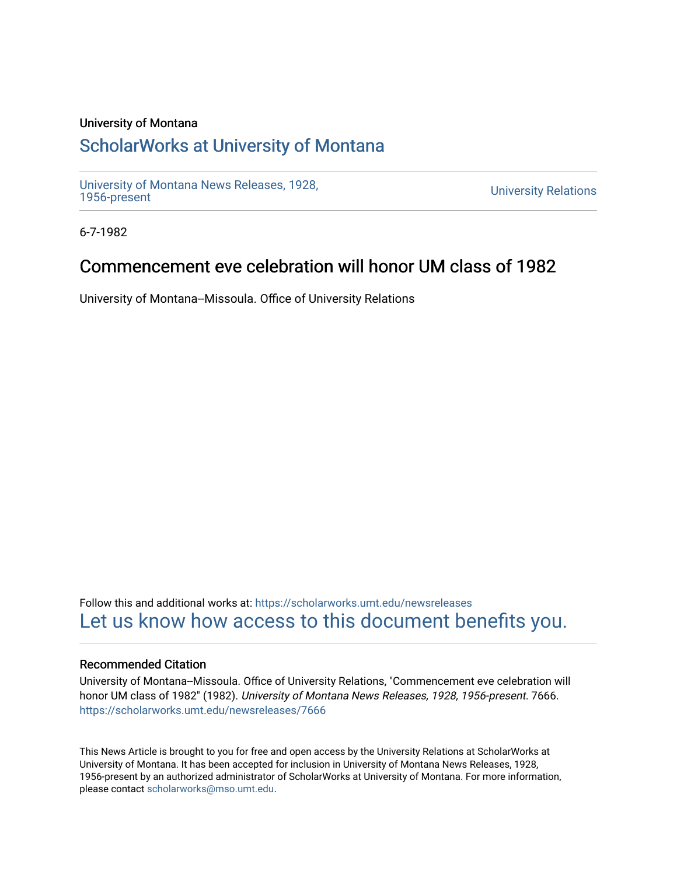### University of Montana

## [ScholarWorks at University of Montana](https://scholarworks.umt.edu/)

[University of Montana News Releases, 1928,](https://scholarworks.umt.edu/newsreleases) 

**University Relations** 

6-7-1982

# Commencement eve celebration will honor UM class of 1982

University of Montana--Missoula. Office of University Relations

Follow this and additional works at: [https://scholarworks.umt.edu/newsreleases](https://scholarworks.umt.edu/newsreleases?utm_source=scholarworks.umt.edu%2Fnewsreleases%2F7666&utm_medium=PDF&utm_campaign=PDFCoverPages) [Let us know how access to this document benefits you.](https://goo.gl/forms/s2rGfXOLzz71qgsB2) 

#### Recommended Citation

University of Montana--Missoula. Office of University Relations, "Commencement eve celebration will honor UM class of 1982" (1982). University of Montana News Releases, 1928, 1956-present. 7666. [https://scholarworks.umt.edu/newsreleases/7666](https://scholarworks.umt.edu/newsreleases/7666?utm_source=scholarworks.umt.edu%2Fnewsreleases%2F7666&utm_medium=PDF&utm_campaign=PDFCoverPages) 

This News Article is brought to you for free and open access by the University Relations at ScholarWorks at University of Montana. It has been accepted for inclusion in University of Montana News Releases, 1928, 1956-present by an authorized administrator of ScholarWorks at University of Montana. For more information, please contact [scholarworks@mso.umt.edu.](mailto:scholarworks@mso.umt.edu)